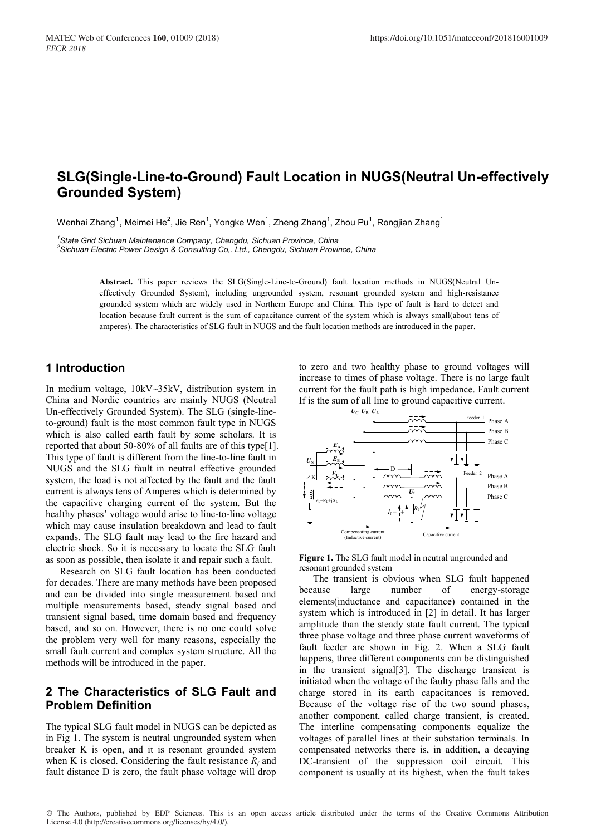# **SLG(Single-Line-to-Ground) Fault Location in NUGS(Neutral Un-effectively Grounded System)**

Wenhai Zhang $^1$ , Meimei He $^2$ , Jie Ren $^1$ , Yongke Wen $^1$ , Zheng Zhang $^1$ , Zhou Pu $^1$ , Rongjian Zhang $^1$ 

*1 State Grid Sichuan Maintenance Company, Chengdu, Sichuan Province, China <sup>2</sup> Sichuan Electric Power Design & Consulting Co,. Ltd., Chengdu, Sichuan Province, China*

> **Abstract.** This paper reviews the SLG(Single-Line-to-Ground) fault location methods in NUGS(Neutral Uneffectively Grounded System), including ungrounded system, resonant grounded system and high-resistance grounded system which are widely used in Northern Europe and China. This type of fault is hard to detect and location because fault current is the sum of capacitance current of the system which is always small(about tens of amperes). The characteristics of SLG fault in NUGS and the fault location methods are introduced in the paper.

# **1 Introduction**

In medium voltage, 10kV~35kV, distribution system in China and Nordic countries are mainly NUGS (Neutral Un-effectively Grounded System). The SLG (single-lineto-ground) fault is the most common fault type in NUGS which is also called earth fault by some scholars. It is reported that about 50-80% of all faults are of this type[1]. This type of fault is different from the line-to-line fault in NUGS and the SLG fault in neutral effective grounded system, the load is not affected by the fault and the fault current is always tens of Amperes which is determined by the capacitive charging current of the system. But the healthy phases' voltage would arise to line-to-line voltage which may cause insulation breakdown and lead to fault expands. The SLG fault may lead to the fire hazard and electric shock. So it is necessary to locate the SLG fault as soon as possible, then isolate it and repair such a fault.

Research on SLG fault location has been conducted for decades. There are many methods have been proposed and can be divided into single measurement based and multiple measurements based, steady signal based and transient signal based, time domain based and frequency based, and so on. However, there is no one could solve the problem very well for many reasons, especially the small fault current and complex system structure. All the methods will be introduced in the paper.

# **2 The Characteristics of SLG Fault and Problem Definition**

The typical SLG fault model in NUGS can be depicted as in Fig 1. The system is neutral ungrounded system when breaker K is open, and it is resonant grounded system when K is closed. Considering the fault resistance  $R_f$  and fault distance D is zero, the fault phase voltage will drop

to zero and two healthy phase to ground voltages will increase to times of phase voltage. There is no large fault current for the fault path is high impedance. Fault current If is the sum of all line to ground capacitive current.



**Figure 1.** The SLG fault model in neutral ungrounded and resonant grounded system

The transient is obvious when SLG fault happened because large number of energy-storage elements(inductance and capacitance) contained in the system which is introduced in [2] in detail. It has larger amplitude than the steady state fault current. The typical three phase voltage and three phase current waveforms of fault feeder are shown in Fig. 2. When a SLG fault happens, three different components can be distinguished in the transient signal[3]. The discharge transient is initiated when the voltage of the faulty phase falls and the charge stored in its earth capacitances is removed. Because of the voltage rise of the two sound phases, another component, called charge transient, is created. The interline compensating components equalize the voltages of parallel lines at their substation terminals. In compensated networks there is, in addition, a decaying DC-transient of the suppression coil circuit. This component is usually at its highest, when the fault takes

© The Authors, published by EDP Sciences. This is an open access article distributed under the terms of the Creative Commons Attribution License 4.0 (http://creativecommons.org/licenses/by/4.0/).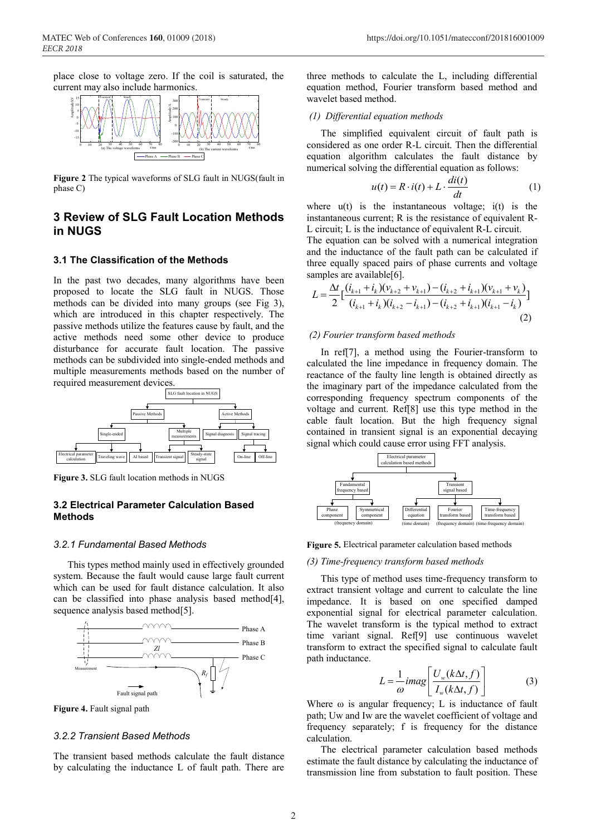place close to voltage zero. If the coil is saturated, the current may also include harmonics.



**Figure 2** The typical waveforms of SLG fault in NUGS(fault in phase C)

# **3 Review of SLG Fault Location Methods in NUGS**

### **3.1 The Classification of the Methods**

In the past two decades, many algorithms have been proposed to locate the SLG fault in NUGS. Those methods can be divided into many groups (see Fig 3), which are introduced in this chapter respectively. The passive methods utilize the features cause by fault, and the active methods need some other device to produce disturbance for accurate fault location. The passive methods can be subdivided into single-ended methods and multiple measurements methods based on the number of



**Figure 3.** SLG fault location methods in NUGS

# **3.2 Electrical Parameter Calculation Based Methods**

#### *3.2.1 Fundamental Based Methods*

This types method mainly used in effectively grounded system. Because the fault would cause large fault current which can be used for fault distance calculation. It also can be classified into phase analysis based method[4], sequence analysis based method<sup>[5]</sup>.



**Figure 4.** Fault signal path

## *3.2.2 Transient Based Methods*

The transient based methods calculate the fault distance by calculating the inductance L of fault path. There are

three methods to calculate the L, including differential equation method, Fourier transform based method and wavelet based method.

#### *(1) Differential equation methods*

The simplified equivalent circuit of fault path is considered as one order R-L circuit. Then the differential equation algorithm calculates the fault distance by numerical solving the differential equation as follows:

$$
u(t) = R \cdot i(t) + L \cdot \frac{di(t)}{dt}
$$
 (1)

where  $u(t)$  is the instantaneous voltage;  $i(t)$  is the instantaneous current; R is the resistance of equivalent R-L circuit; L is the inductance of equivalent R-L circuit.

The equation can be solved with a numerical integration and the inductance of the fault path can be calculated if three equally spaced pairs of phase currents and voltage samples are available[6].

$$
L = \frac{\Delta t}{2} \Big[ \frac{(i_{k+1} + i_k)(v_{k+2} + v_{k+1}) - (i_{k+2} + i_{k+1})(v_{k+1} + v_k)}{(i_{k+1} + i_k)(i_{k+2} - i_{k+1}) - (i_{k+2} + i_{k+1})(i_{k+1} - i_k)} \Big]
$$
\n(2)

### *(2) Fourier transform based methods*

In ref[7], a method using the Fourier-transform to calculated the line impedance in frequency domain. The reactance of the faulty line length is obtained directly as the imaginary part of the impedance calculated from the corresponding frequency spectrum components of the voltage and current. Ref[8] use this type method in the cable fault location. But the high frequency signal contained in transient signal is an exponential decaying signal which could cause error using FFT analysis.



**Figure 5.** Electrical parameter calculation based methods

#### *(3) Time-frequency transform based methods*

This type of method uses time-frequency transform to extract transient voltage and current to calculate the line impedance. It is based on one specified damped exponential signal for electrical parameter calculation. The wavelet transform is the typical method to extract time variant signal. Ref[9] use continuous wavelet transform to extract the specified signal to calculate fault path inductance.

$$
L = \frac{1}{\omega} \text{imag} \left[ \frac{U_w(k\Delta t, f)}{I_w(k\Delta t, f)} \right] \tag{3}
$$

Where  $\omega$  is angular frequency; L is inductance of fault path; Uw and Iw are the wavelet coefficient of voltage and frequency separately; f is frequency for the distance calculation.

The electrical parameter calculation based methods estimate the fault distance by calculating the inductance of transmission line from substation to fault position. These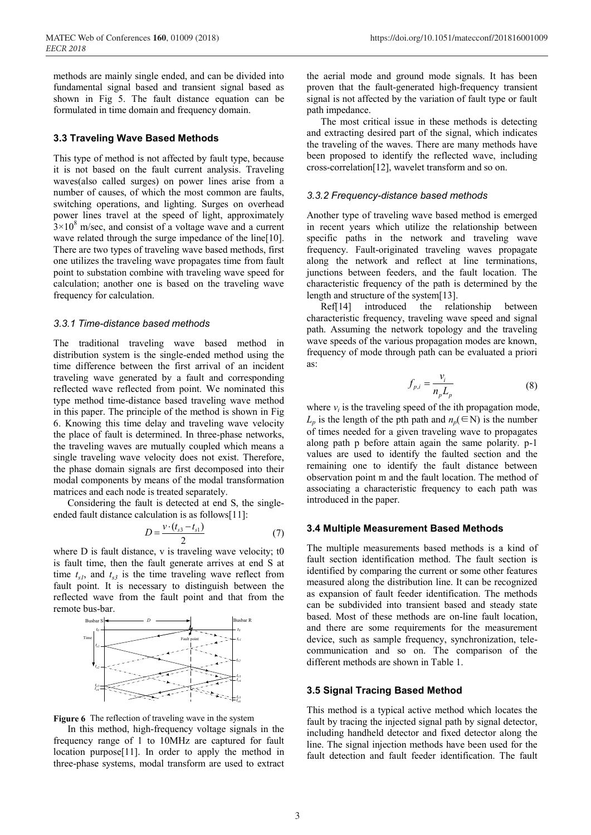methods are mainly single ended, and can be divided into fundamental signal based and transient signal based as shown in Fig 5. The fault distance equation can be formulated in time domain and frequency domain.

### **3.3 Traveling Wave Based Methods**

This type of method is not affected by fault type, because it is not based on the fault current analysis. Traveling waves(also called surges) on power lines arise from a number of causes, of which the most common are faults, switching operations, and lighting. Surges on overhead power lines travel at the speed of light, approximately  $3\times10^8$  m/sec, and consist of a voltage wave and a current wave related through the surge impedance of the line[10]. There are two types of traveling wave based methods, first one utilizes the traveling wave propagates time from fault point to substation combine with traveling wave speed for calculation; another one is based on the traveling wave frequency for calculation.

### *3.3.1 Time-distance based methods*

The traditional traveling wave based method in distribution system is the single-ended method using the time difference between the first arrival of an incident traveling wave generated by a fault and corresponding reflected wave reflected from point. We nominated this type method time-distance based traveling wave method in this paper. The principle of the method is shown in Fig 6. Knowing this time delay and traveling wave velocity the place of fault is determined. In three-phase networks, the traveling waves are mutually coupled which means a single traveling wave velocity does not exist. Therefore, the phase domain signals are first decomposed into their modal components by means of the modal transformation matrices and each node is treated separately.

Considering the fault is detected at end S, the singleended fault distance calculation is as follows[11]:

$$
D = \frac{v \cdot (t_{s3} - t_{s1})}{2} \tag{7}
$$

where D is fault distance, v is traveling wave velocity; t0 is fault time, then the fault generate arrives at end S at time  $t_{s1}$ , and  $t_{s3}$  is the time traveling wave reflect from fault point. It is necessary to distinguish between the reflected wave from the fault point and that from the remote bus-bar.



**Figure 6** The reflection of traveling wave in the system

In this method, high-frequency voltage signals in the frequency range of 1 to 10MHz are captured for fault location purpose[11]. In order to apply the method in three-phase systems, modal transform are used to extract

the aerial mode and ground mode signals. It has been proven that the fault-generated high-frequency transient signal is not affected by the variation of fault type or fault path impedance.

The most critical issue in these methods is detecting and extracting desired part of the signal, which indicates the traveling of the waves. There are many methods have been proposed to identify the reflected wave, including cross-correlation[12], wavelet transform and so on.

# *3.3.2 Frequency-distance based methods*

Another type of traveling wave based method is emerged in recent years which utilize the relationship between specific paths in the network and traveling wave frequency. Fault-originated traveling waves propagate along the network and reflect at line terminations, junctions between feeders, and the fault location. The characteristic frequency of the path is determined by the length and structure of the system[13].

Ref[14] introduced the relationship between characteristic frequency, traveling wave speed and signal path. Assuming the network topology and the traveling wave speeds of the various propagation modes are known, frequency of mode through path can be evaluated a priori as:

$$
f_{p,i} = \frac{v_i}{n_p L_p} \tag{8}
$$

where  $v_i$  is the traveling speed of the ith propagation mode, *L<sub>p</sub>* is the length of the pth path and  $n_p(\in \mathbb{N})$  is the number of times needed for a given traveling wave to propagates along path p before attain again the same polarity. p-1 values are used to identify the faulted section and the remaining one to identify the fault distance between observation point m and the fault location. The method of associating a characteristic frequency to each path was introduced in the paper.

#### **3.4 Multiple Measurement Based Methods**

The multiple measurements based methods is a kind of fault section identification method. The fault section is identified by comparing the current or some other features measured along the distribution line. It can be recognized as expansion of fault feeder identification. The methods can be subdivided into transient based and steady state based. Most of these methods are on-line fault location, and there are some requirements for the measurement device, such as sample frequency, synchronization, telecommunication and so on. The comparison of the different methods are shown in Table 1.

## **3.5 Signal Tracing Based Method**

This method is a typical active method which locates the fault by tracing the injected signal path by signal detector, including handheld detector and fixed detector along the line. The signal injection methods have been used for the fault detection and fault feeder identification. The fault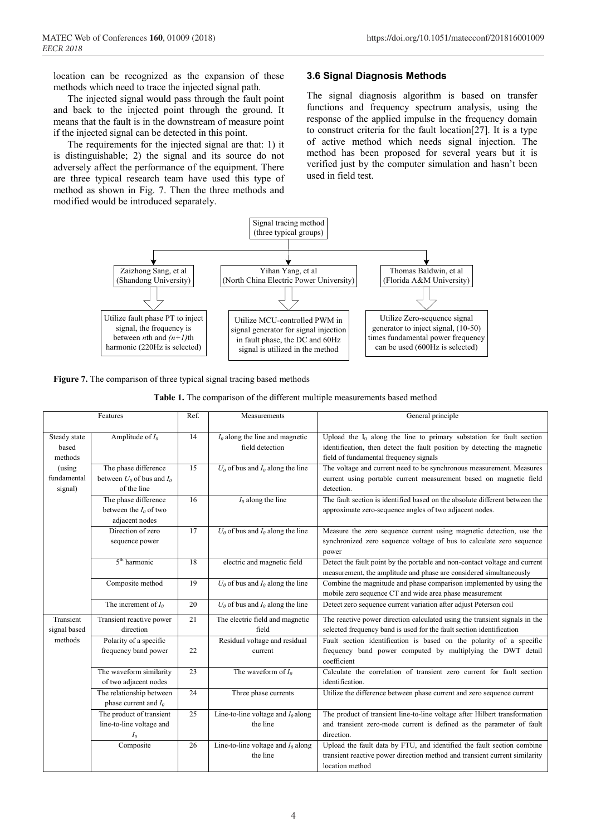location can be recognized as the expansion of these methods which need to trace the injected signal path.

The injected signal would pass through the fault point and back to the injected point through the ground. It means that the fault is in the downstream of measure point if the injected signal can be detected in this point.

The requirements for the injected signal are that: 1) it is distinguishable; 2) the signal and its source do not adversely affect the performance of the equipment. There are three typical research team have used this type of method as shown in Fig. 7. Then the three methods and modified would be introduced separately.

# **3.6 Signal Diagnosis Methods**

The signal diagnosis algorithm is based on transfer functions and frequency spectrum analysis, using the response of the applied impulse in the frequency domain to construct criteria for the fault location[27]. It is a type of active method which needs signal injection. The method has been proposed for several years but it is verified just by the computer simulation and hasn't been used in field test.



**Figure 7.** The comparison of three typical signal tracing based methods

| <b>Table 1.</b> The comparison of the different multiple measurements based method |  |
|------------------------------------------------------------------------------------|--|
|------------------------------------------------------------------------------------|--|

| Features                         |                                                                       | Ref.            | Measurements                                         | General principle                                                                                                                                                                             |
|----------------------------------|-----------------------------------------------------------------------|-----------------|------------------------------------------------------|-----------------------------------------------------------------------------------------------------------------------------------------------------------------------------------------------|
| Steady state<br>based<br>methods | Amplitude of $I_0$                                                    | $\overline{14}$ | $I_0$ along the line and magnetic<br>field detection | Upload the $I_0$ along the line to primary substation for fault section<br>identification, then detect the fault position by detecting the magnetic<br>field of fundamental frequency signals |
| (using<br>fundamental<br>signal) | The phase difference<br>between $U_0$ of bus and $I_0$<br>of the line | 15              | $U_0$ of bus and $I_0$ along the line                | The voltage and current need to be synchronous measurement. Measures<br>current using portable current measurement based on magnetic field<br>detection.                                      |
|                                  | The phase difference<br>between the $I_0$ of two<br>adjacent nodes    | 16              | $I_0$ along the line                                 | The fault section is identified based on the absolute different between the<br>approximate zero-sequence angles of two adjacent nodes.                                                        |
|                                  | Direction of zero<br>sequence power                                   | 17              | $U_0$ of bus and $I_0$ along the line                | Measure the zero sequence current using magnetic detection, use the<br>synchronized zero sequence voltage of bus to calculate zero sequence<br>power                                          |
|                                  | $5th$ harmonic                                                        | 18              | electric and magnetic field                          | Detect the fault point by the portable and non-contact voltage and current<br>measurement, the amplitude and phase are considered simultaneously                                              |
|                                  | Composite method                                                      | 19              | $U_0$ of bus and $I_0$ along the line                | Combine the magnitude and phase comparison implemented by using the<br>mobile zero sequence CT and wide area phase measurement                                                                |
|                                  | The increment of $I_0$                                                | 20              | $U_0$ of bus and $I_0$ along the line                | Detect zero sequence current variation after adjust Peterson coil                                                                                                                             |
| Transient<br>signal based        | Transient reactive power<br>direction                                 | 21              | The electric field and magnetic<br>field             | The reactive power direction calculated using the transient signals in the<br>selected frequency band is used for the fault section identification                                            |
| methods                          | Polarity of a specific<br>frequency band power                        | 22              | Residual voltage and residual<br>current             | Fault section identification is based on the polarity of a specific<br>frequency band power computed by multiplying the DWT detail<br>coefficient                                             |
|                                  | The waveform similarity<br>of two adjacent nodes                      | 23              | The waveform of $I_0$                                | Calculate the correlation of transient zero current for fault section<br>identification.                                                                                                      |
|                                  | The relationship between<br>phase current and $I_0$                   | 24              | Three phase currents                                 | Utilize the difference between phase current and zero sequence current                                                                                                                        |
|                                  | The product of transient<br>line-to-line voltage and<br>$I_0$         | $\overline{25}$ | Line-to-line voltage and $I_0$ along<br>the line     | The product of transient line-to-line voltage after Hilbert transformation<br>and transient zero-mode current is defined as the parameter of fault<br>direction.                              |
|                                  | Composite                                                             | 26              | Line-to-line voltage and $I_0$ along<br>the line     | Upload the fault data by FTU, and identified the fault section combine<br>transient reactive power direction method and transient current similarity<br>location method                       |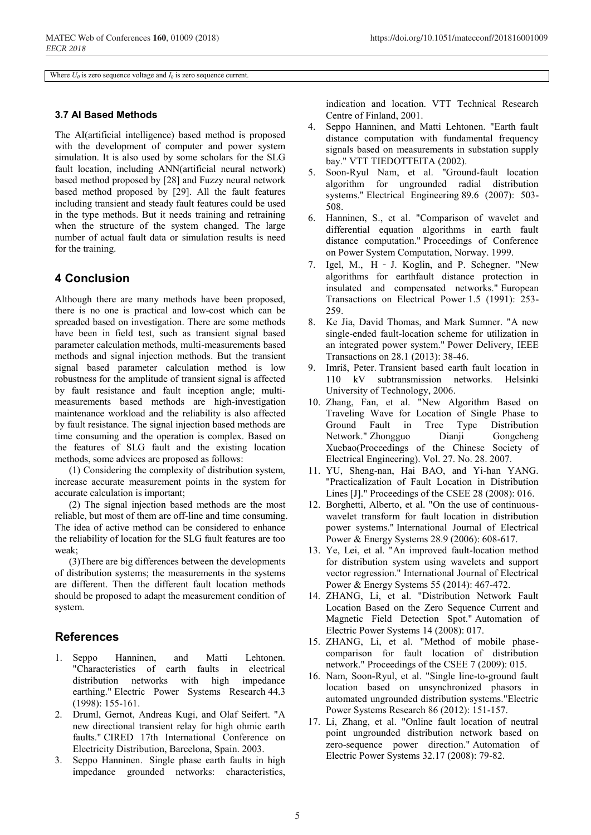Where  $U_0$  is zero sequence voltage and  $I_0$  is zero sequence current.

# **3.7 AI Based Methods**

The AI(artificial intelligence) based method is proposed with the development of computer and power system simulation. It is also used by some scholars for the SLG fault location, including ANN(artificial neural network) based method proposed by [28] and Fuzzy neural network based method proposed by [29]. All the fault features including transient and steady fault features could be used in the type methods. But it needs training and retraining when the structure of the system changed. The large number of actual fault data or simulation results is need for the training.

# **4 Conclusion**

Although there are many methods have been proposed, there is no one is practical and low-cost which can be spreaded based on investigation. There are some methods have been in field test, such as transient signal based parameter calculation methods, multi-measurements based methods and signal injection methods. But the transient signal based parameter calculation method is low robustness for the amplitude of transient signal is affected by fault resistance and fault inception angle; multimeasurements based methods are high-investigation maintenance workload and the reliability is also affected by fault resistance. The signal injection based methods are time consuming and the operation is complex. Based on the features of SLG fault and the existing location methods, some advices are proposed as follows:

(1) Considering the complexity of distribution system, increase accurate measurement points in the system for accurate calculation is important;

(2) The signal injection based methods are the most reliable, but most of them are off-line and time consuming. The idea of active method can be considered to enhance the reliability of location for the SLG fault features are too weak;

(3)There are big differences between the developments of distribution systems; the measurements in the systems are different. Then the different fault location methods should be proposed to adapt the measurement condition of system.

# **References**

- 1. Seppo Hanninen, and Matti Lehtonen. "Characteristics of earth faults in electrical distribution networks with high impedance earthing." Electric Power Systems Research 44.3 (1998): 155-161.
- 2. Druml, Gernot, Andreas Kugi, and Olaf Seifert. "A new directional transient relay for high ohmic earth faults." CIRED 17th International Conference on Electricity Distribution, Barcelona, Spain. 2003.
- 3. Seppo Hanninen. Single phase earth faults in high impedance grounded networks: characteristics,

indication and location. VTT Technical Research Centre of Finland, 2001.

- 4. Seppo Hanninen, and Matti Lehtonen. "Earth fault distance computation with fundamental frequency signals based on measurements in substation supply bay." VTT TIEDOTTEITA (2002).
- 5. Soon-Ryul Nam, et al. "Ground-fault location algorithm for ungrounded radial distribution systems." Electrical Engineering 89.6 (2007): 503- 508.
- 6. Hanninen, S., et al. "Comparison of wavelet and differential equation algorithms in earth fault distance computation." Proceedings of Conference on Power System Computation, Norway. 1999.
- 7. Igel, M., H J. Koglin, and P. Schegner. "New algorithms for earthfault distance protection in insulated and compensated networks." European Transactions on Electrical Power 1.5 (1991): 253- 259.
- 8. Ke Jia, David Thomas, and Mark Sumner. "A new single-ended fault-location scheme for utilization in an integrated power system." Power Delivery, IEEE Transactions on 28.1 (2013): 38-46.
- 9. Imriš, Peter. Transient based earth fault location in 110 kV subtransmission networks. Helsinki University of Technology, 2006.
- 10. Zhang, Fan, et al. "New Algorithm Based on Traveling Wave for Location of Single Phase to Ground Fault in Tree Type Distribution Network." Zhongguo Dianji Gongcheng Xuebao(Proceedings of the Chinese Society of Electrical Engineering). Vol. 27. No. 28. 2007.
- 11. YU, Sheng-nan, Hai BAO, and Yi-han YANG. "Practicalization of Fault Location in Distribution Lines [J]." Proceedings of the CSEE 28 (2008): 016.
- 12. Borghetti, Alberto, et al. "On the use of continuouswavelet transform for fault location in distribution power systems." International Journal of Electrical Power & Energy Systems 28.9 (2006): 608-617.
- 13. Ye, Lei, et al. "An improved fault-location method for distribution system using wavelets and support vector regression." International Journal of Electrical Power & Energy Systems 55 (2014): 467-472.
- 14. ZHANG, Li, et al. "Distribution Network Fault Location Based on the Zero Sequence Current and Magnetic Field Detection Spot." Automation of Electric Power Systems 14 (2008): 017.
- 15. ZHANG, Li, et al. "Method of mobile phasecomparison for fault location of distribution network." Proceedings of the CSEE 7 (2009): 015.
- 16. Nam, Soon-Ryul, et al. "Single line-to-ground fault location based on unsynchronized phasors in automated ungrounded distribution systems."Electric Power Systems Research 86 (2012): 151-157.
- 17. Li, Zhang, et al. "Online fault location of neutral point ungrounded distribution network based on zero-sequence power direction." Automation of Electric Power Systems 32.17 (2008): 79-82.